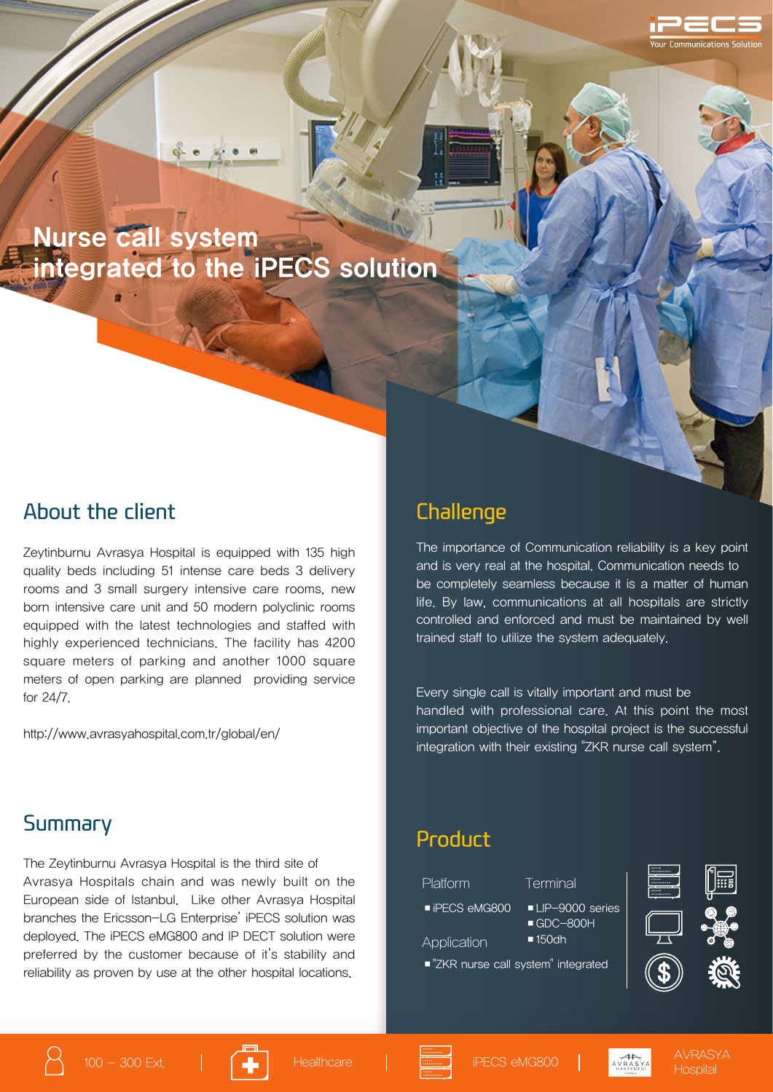# Nurse call system integrated to the iPECS solution

#### About the client

Zeytinburnu Avrasya Hospital is equipped with 135 high quality beds including 51 intense care beds 3 delivery rooms and 3 small surgery intensive care rooms, new born intensive care unit and 50 modern polyclinic rooms equipped with the latest technologies and staffed with highly experienced technicians. The facility has 4200 square meters of parking and another 1000 square meters of open parking are planned providing service for 24/7.

http://www.avrasyahospital.com.tr/global/en/

### **Challenge**

The importance of Communication reliability is a key point and is very real at the hospital. Communication needs to be completely seamless because it is a matter of human life. By law, communications at all hospitals are strictly controlled and enforced and must be maintained by well trained staff to utilize the system adequately.

Every single call is vitally important and must be handled with professional care. At this point the most important objective of the hospital project is the successful integration with their existing "ZKR nurse call system".

#### Summary

The Zeytinburnu Avrasya Hospital is the third site of Avrasya Hospitals chain and was newly built on the European side of Istanbul. Like other Avrasya Hospital branches the Ericsson-LG Enterprise' iPECS solution was deployed. The iPECS eMG800 and IP DECT solution were preferred by the customer because of it's stability and reliability as proven by use at the other hospital locations.

#### Product

Platform Terminal ■ iPECS eMG800 ■ LIP-9000 series ■ GDC-800H ■150dh ■ "ZKR nurse call system" integrated Application





ommunications Solution